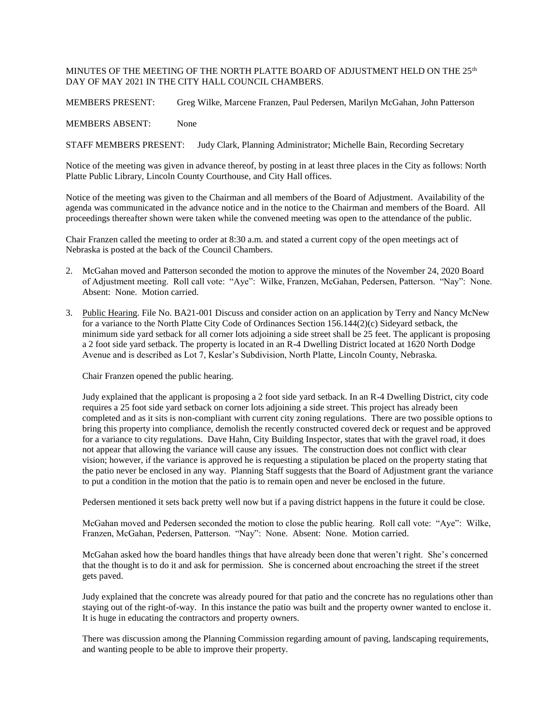## MINUTES OF THE MEETING OF THE NORTH PLATTE BOARD OF ADJUSTMENT HELD ON THE 25<sup>th</sup> DAY OF MAY 2021 IN THE CITY HALL COUNCIL CHAMBERS.

MEMBERS PRESENT: Greg Wilke, Marcene Franzen, Paul Pedersen, Marilyn McGahan, John Patterson

MEMBERS ABSENT: None

STAFF MEMBERS PRESENT: Judy Clark, Planning Administrator; Michelle Bain, Recording Secretary

Notice of the meeting was given in advance thereof, by posting in at least three places in the City as follows: North Platte Public Library, Lincoln County Courthouse, and City Hall offices.

Notice of the meeting was given to the Chairman and all members of the Board of Adjustment. Availability of the agenda was communicated in the advance notice and in the notice to the Chairman and members of the Board. All proceedings thereafter shown were taken while the convened meeting was open to the attendance of the public.

Chair Franzen called the meeting to order at 8:30 a.m. and stated a current copy of the open meetings act of Nebraska is posted at the back of the Council Chambers.

- 2. McGahan moved and Patterson seconded the motion to approve the minutes of the November 24, 2020 Board of Adjustment meeting. Roll call vote: "Aye": Wilke, Franzen, McGahan, Pedersen, Patterson. "Nay": None. Absent: None. Motion carried.
- 3. Public Hearing. File No. BA21-001 Discuss and consider action on an application by Terry and Nancy McNew for a variance to the North Platte City Code of Ordinances Section 156.144(2)(c) Sideyard setback, the minimum side yard setback for all corner lots adjoining a side street shall be 25 feet. The applicant is proposing a 2 foot side yard setback. The property is located in an R-4 Dwelling District located at 1620 North Dodge Avenue and is described as Lot 7, Keslar's Subdivision, North Platte, Lincoln County, Nebraska.

Chair Franzen opened the public hearing.

Judy explained that the applicant is proposing a 2 foot side yard setback. In an R-4 Dwelling District, city code requires a 25 foot side yard setback on corner lots adjoining a side street. This project has already been completed and as it sits is non-compliant with current city zoning regulations. There are two possible options to bring this property into compliance, demolish the recently constructed covered deck or request and be approved for a variance to city regulations. Dave Hahn, City Building Inspector, states that with the gravel road, it does not appear that allowing the variance will cause any issues. The construction does not conflict with clear vision; however, if the variance is approved he is requesting a stipulation be placed on the property stating that the patio never be enclosed in any way. Planning Staff suggests that the Board of Adjustment grant the variance to put a condition in the motion that the patio is to remain open and never be enclosed in the future.

Pedersen mentioned it sets back pretty well now but if a paving district happens in the future it could be close.

McGahan moved and Pedersen seconded the motion to close the public hearing. Roll call vote: "Aye": Wilke, Franzen, McGahan, Pedersen, Patterson. "Nay": None. Absent: None. Motion carried.

McGahan asked how the board handles things that have already been done that weren't right. She's concerned that the thought is to do it and ask for permission. She is concerned about encroaching the street if the street gets paved.

Judy explained that the concrete was already poured for that patio and the concrete has no regulations other than staying out of the right-of-way. In this instance the patio was built and the property owner wanted to enclose it. It is huge in educating the contractors and property owners.

There was discussion among the Planning Commission regarding amount of paving, landscaping requirements, and wanting people to be able to improve their property.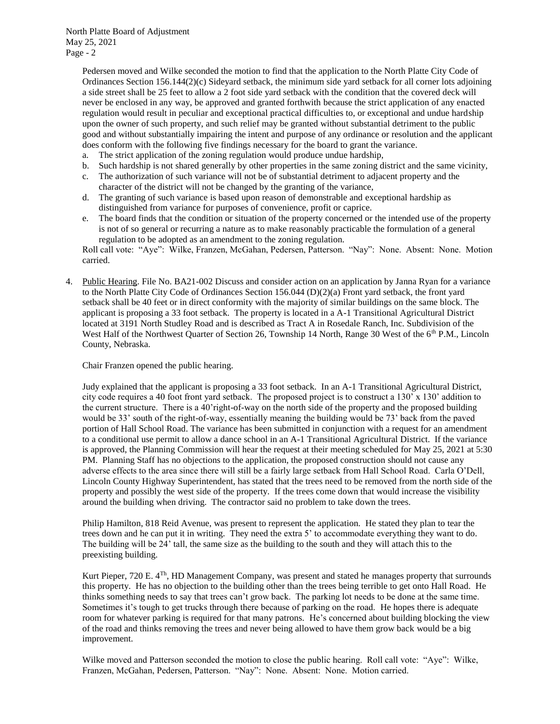North Platte Board of Adjustment May 25, 2021 Page - 2

> Pedersen moved and Wilke seconded the motion to find that the application to the North Platte City Code of Ordinances Section 156.144(2)(c) Sideyard setback, the minimum side yard setback for all corner lots adjoining a side street shall be 25 feet to allow a 2 foot side yard setback with the condition that the covered deck will never be enclosed in any way, be approved and granted forthwith because the strict application of any enacted regulation would result in peculiar and exceptional practical difficulties to, or exceptional and undue hardship upon the owner of such property, and such relief may be granted without substantial detriment to the public good and without substantially impairing the intent and purpose of any ordinance or resolution and the applicant does conform with the following five findings necessary for the board to grant the variance.

- a. The strict application of the zoning regulation would produce undue hardship,
- b. Such hardship is not shared generally by other properties in the same zoning district and the same vicinity,
- c. The authorization of such variance will not be of substantial detriment to adjacent property and the character of the district will not be changed by the granting of the variance,
- d. The granting of such variance is based upon reason of demonstrable and exceptional hardship as distinguished from variance for purposes of convenience, profit or caprice.
- e. The board finds that the condition or situation of the property concerned or the intended use of the property is not of so general or recurring a nature as to make reasonably practicable the formulation of a general regulation to be adopted as an amendment to the zoning regulation.

Roll call vote: "Aye": Wilke, Franzen, McGahan, Pedersen, Patterson. "Nay": None. Absent: None. Motion carried.

4. Public Hearing. File No. BA21-002 Discuss and consider action on an application by Janna Ryan for a variance to the North Platte City Code of Ordinances Section 156.044 (D)(2)(a) Front yard setback, the front yard setback shall be 40 feet or in direct conformity with the majority of similar buildings on the same block. The applicant is proposing a 33 foot setback. The property is located in a A-1 Transitional Agricultural District located at 3191 North Studley Road and is described as Tract A in Rosedale Ranch, Inc. Subdivision of the West Half of the Northwest Quarter of Section 26, Township 14 North, Range 30 West of the 6<sup>th</sup> P.M., Lincoln County, Nebraska.

Chair Franzen opened the public hearing.

Judy explained that the applicant is proposing a 33 foot setback. In an A-1 Transitional Agricultural District, city code requires a 40 foot front yard setback. The proposed project is to construct a 130' x 130' addition to the current structure. There is a 40'right-of-way on the north side of the property and the proposed building would be 33' south of the right-of-way, essentially meaning the building would be 73' back from the paved portion of Hall School Road. The variance has been submitted in conjunction with a request for an amendment to a conditional use permit to allow a dance school in an A-1 Transitional Agricultural District. If the variance is approved, the Planning Commission will hear the request at their meeting scheduled for May 25, 2021 at 5:30 PM. Planning Staff has no objections to the application, the proposed construction should not cause any adverse effects to the area since there will still be a fairly large setback from Hall School Road. Carla O'Dell, Lincoln County Highway Superintendent, has stated that the trees need to be removed from the north side of the property and possibly the west side of the property. If the trees come down that would increase the visibility around the building when driving. The contractor said no problem to take down the trees.

Philip Hamilton, 818 Reid Avenue, was present to represent the application. He stated they plan to tear the trees down and he can put it in writing. They need the extra 5' to accommodate everything they want to do. The building will be 24' tall, the same size as the building to the south and they will attach this to the preexisting building.

Kurt Pieper, 720 E.  $4<sup>Th</sup>$ , HD Management Company, was present and stated he manages property that surrounds this property. He has no objection to the building other than the trees being terrible to get onto Hall Road. He thinks something needs to say that trees can't grow back. The parking lot needs to be done at the same time. Sometimes it's tough to get trucks through there because of parking on the road. He hopes there is adequate room for whatever parking is required for that many patrons. He's concerned about building blocking the view of the road and thinks removing the trees and never being allowed to have them grow back would be a big improvement.

Wilke moved and Patterson seconded the motion to close the public hearing. Roll call vote: "Aye": Wilke, Franzen, McGahan, Pedersen, Patterson. "Nay": None. Absent: None. Motion carried.